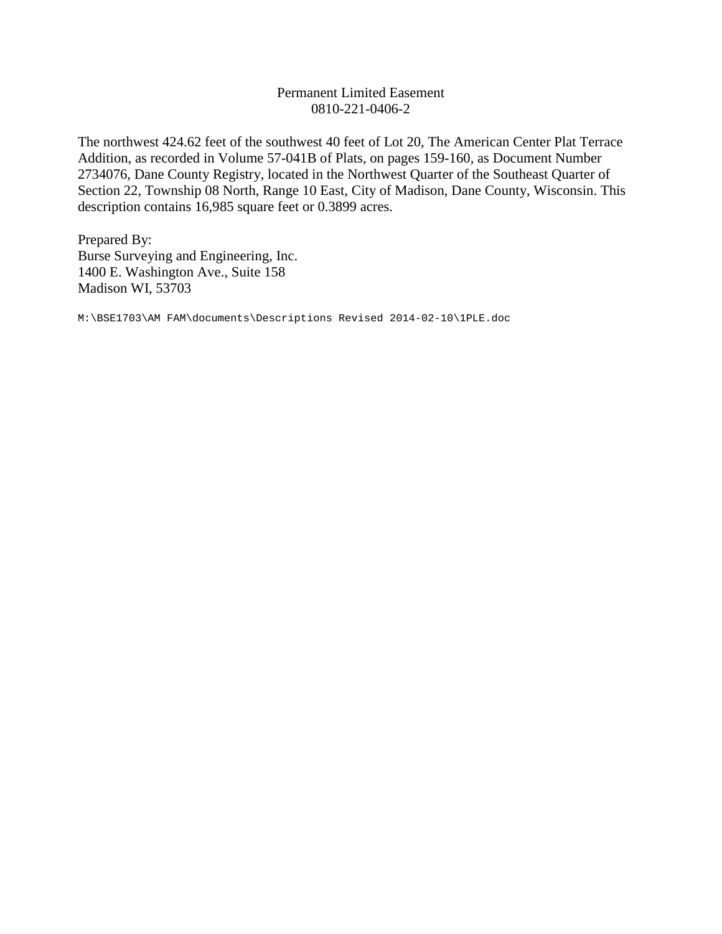## Permanent Limited Easement 0810-221-0406-2

The northwest 424.62 feet of the southwest 40 feet of Lot 20, The American Center Plat Terrace Addition, as recorded in Volume 57-041B of Plats, on pages 159-160, as Document Number 2734076, Dane County Registry, located in the Northwest Quarter of the Southeast Quarter of Section 22, Township 08 North, Range 10 East, City of Madison, Dane County, Wisconsin. This description contains 16,985 square feet or 0.3899 acres.

Prepared By: Burse Surveying and Engineering, Inc. 1400 E. Washington Ave., Suite 158 Madison WI, 53703

M:\BSE1703\AM FAM\documents\Descriptions Revised 2014-02-10\1PLE.doc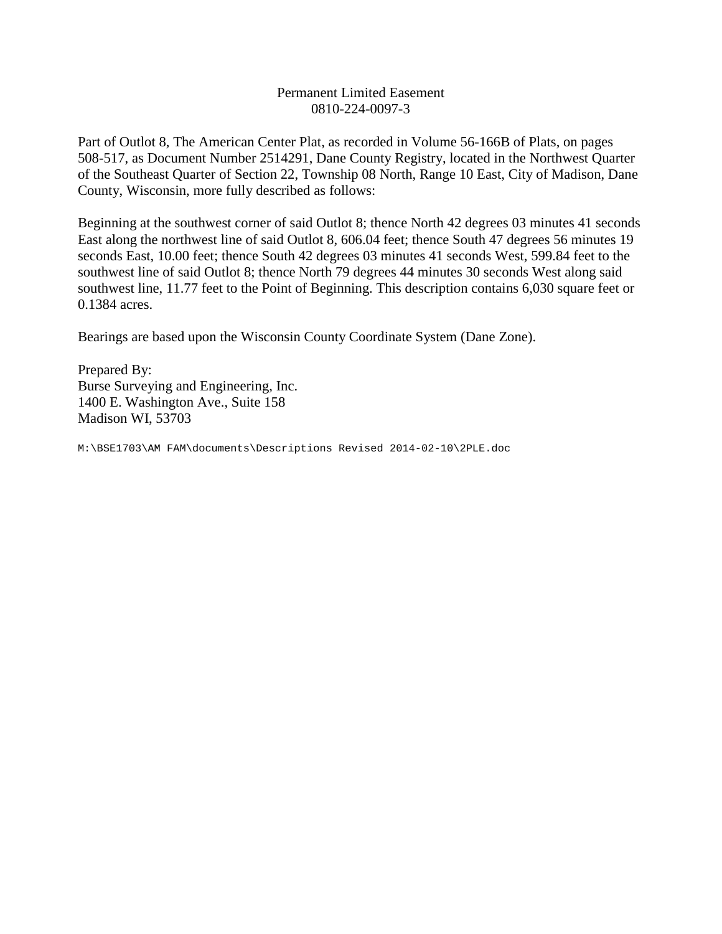## Permanent Limited Easement 0810-224-0097-3

Part of Outlot 8, The American Center Plat, as recorded in Volume 56-166B of Plats, on pages 508-517, as Document Number 2514291, Dane County Registry, located in the Northwest Quarter of the Southeast Quarter of Section 22, Township 08 North, Range 10 East, City of Madison, Dane County, Wisconsin, more fully described as follows:

Beginning at the southwest corner of said Outlot 8; thence North 42 degrees 03 minutes 41 seconds East along the northwest line of said Outlot 8, 606.04 feet; thence South 47 degrees 56 minutes 19 seconds East, 10.00 feet; thence South 42 degrees 03 minutes 41 seconds West, 599.84 feet to the southwest line of said Outlot 8; thence North 79 degrees 44 minutes 30 seconds West along said southwest line, 11.77 feet to the Point of Beginning. This description contains 6,030 square feet or 0.1384 acres.

Bearings are based upon the Wisconsin County Coordinate System (Dane Zone).

Prepared By: Burse Surveying and Engineering, Inc. 1400 E. Washington Ave., Suite 158 Madison WI, 53703

M:\BSE1703\AM FAM\documents\Descriptions Revised 2014-02-10\2PLE.doc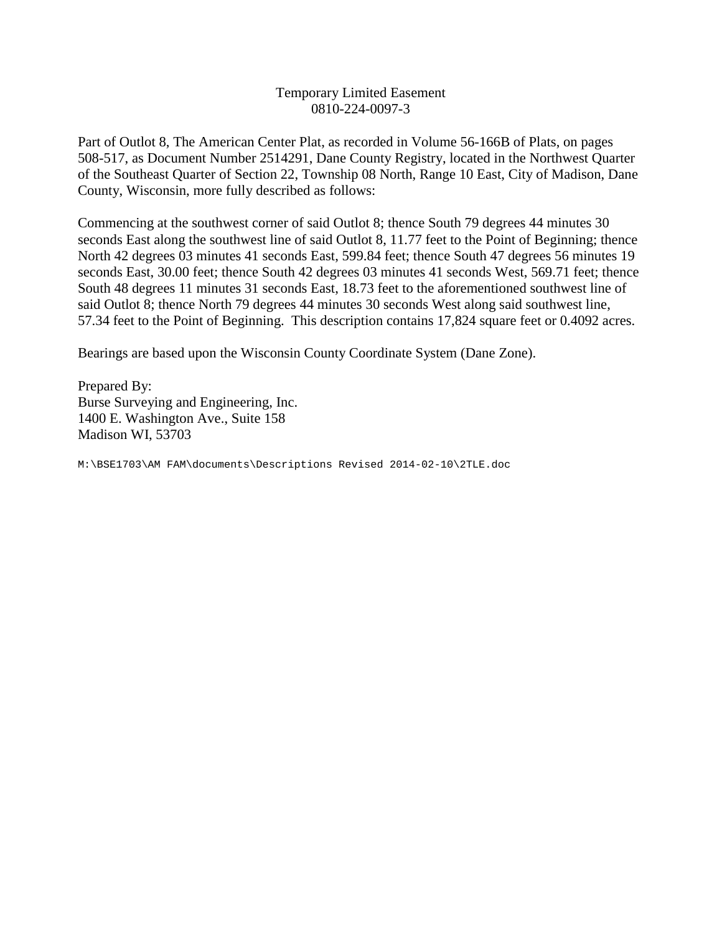## Temporary Limited Easement 0810-224-0097-3

Part of Outlot 8, The American Center Plat, as recorded in Volume 56-166B of Plats, on pages 508-517, as Document Number 2514291, Dane County Registry, located in the Northwest Quarter of the Southeast Quarter of Section 22, Township 08 North, Range 10 East, City of Madison, Dane County, Wisconsin, more fully described as follows:

Commencing at the southwest corner of said Outlot 8; thence South 79 degrees 44 minutes 30 seconds East along the southwest line of said Outlot 8, 11.77 feet to the Point of Beginning; thence North 42 degrees 03 minutes 41 seconds East, 599.84 feet; thence South 47 degrees 56 minutes 19 seconds East, 30.00 feet; thence South 42 degrees 03 minutes 41 seconds West, 569.71 feet; thence South 48 degrees 11 minutes 31 seconds East, 18.73 feet to the aforementioned southwest line of said Outlot 8; thence North 79 degrees 44 minutes 30 seconds West along said southwest line, 57.34 feet to the Point of Beginning. This description contains 17,824 square feet or 0.4092 acres.

Bearings are based upon the Wisconsin County Coordinate System (Dane Zone).

Prepared By: Burse Surveying and Engineering, Inc. 1400 E. Washington Ave., Suite 158 Madison WI, 53703

M:\BSE1703\AM FAM\documents\Descriptions Revised 2014-02-10\2TLE.doc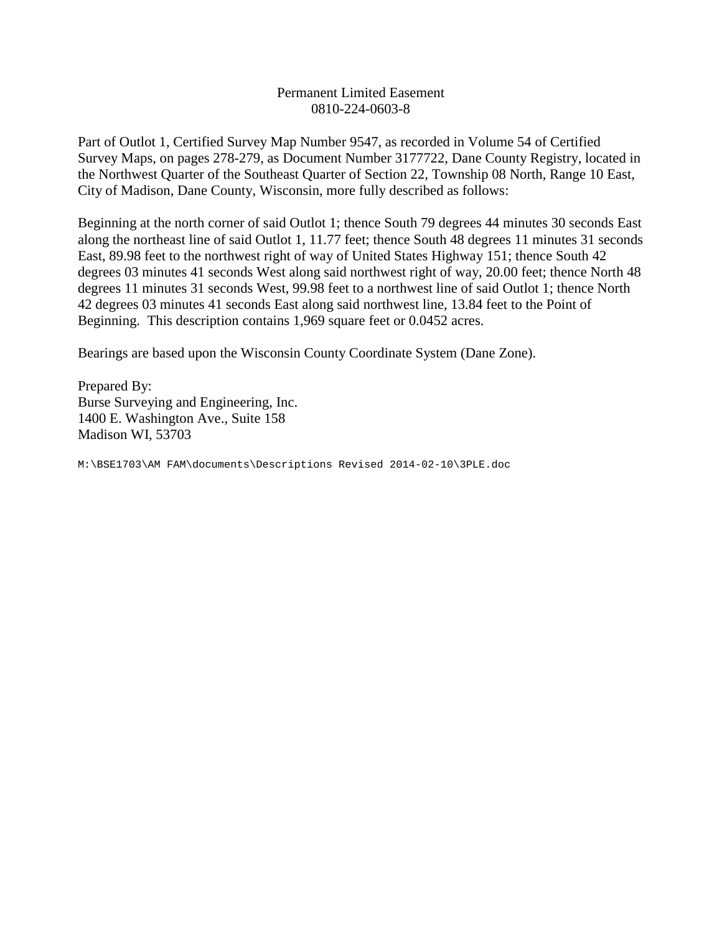## Permanent Limited Easement 0810-224-0603-8

Part of Outlot 1, Certified Survey Map Number 9547, as recorded in Volume 54 of Certified Survey Maps, on pages 278-279, as Document Number 3177722, Dane County Registry, located in the Northwest Quarter of the Southeast Quarter of Section 22, Township 08 North, Range 10 East, City of Madison, Dane County, Wisconsin, more fully described as follows:

Beginning at the north corner of said Outlot 1; thence South 79 degrees 44 minutes 30 seconds East along the northeast line of said Outlot 1, 11.77 feet; thence South 48 degrees 11 minutes 31 seconds East, 89.98 feet to the northwest right of way of United States Highway 151; thence South 42 degrees 03 minutes 41 seconds West along said northwest right of way, 20.00 feet; thence North 48 degrees 11 minutes 31 seconds West, 99.98 feet to a northwest line of said Outlot 1; thence North 42 degrees 03 minutes 41 seconds East along said northwest line, 13.84 feet to the Point of Beginning. This description contains 1,969 square feet or 0.0452 acres.

Bearings are based upon the Wisconsin County Coordinate System (Dane Zone).

Prepared By: Burse Surveying and Engineering, Inc. 1400 E. Washington Ave., Suite 158 Madison WI, 53703

M:\BSE1703\AM FAM\documents\Descriptions Revised 2014-02-10\3PLE.doc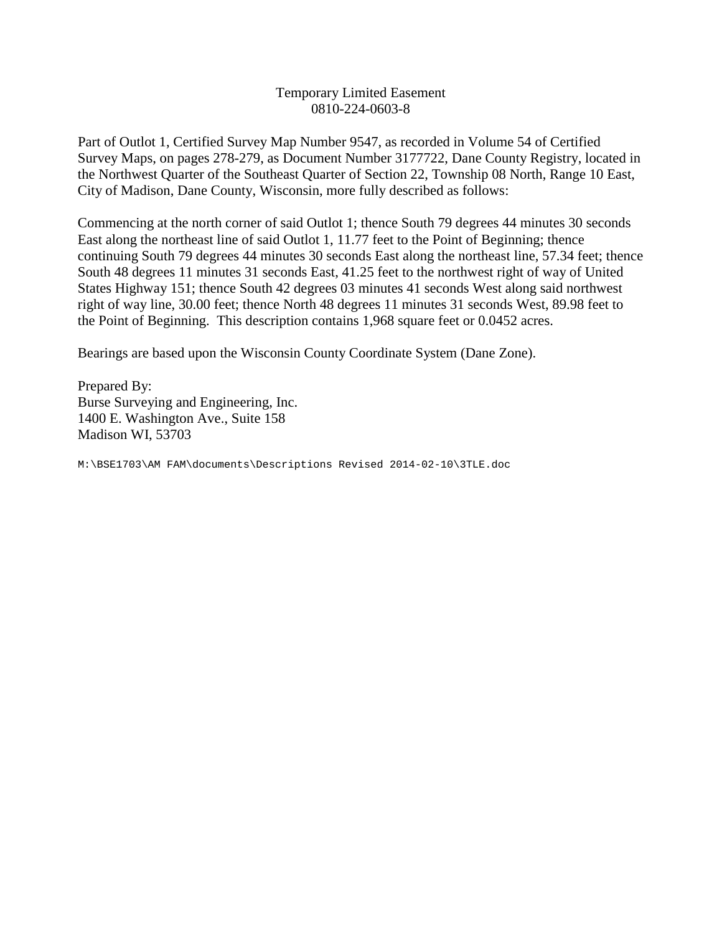# Temporary Limited Easement 0810-224-0603-8

Part of Outlot 1, Certified Survey Map Number 9547, as recorded in Volume 54 of Certified Survey Maps, on pages 278-279, as Document Number 3177722, Dane County Registry, located in the Northwest Quarter of the Southeast Quarter of Section 22, Township 08 North, Range 10 East, City of Madison, Dane County, Wisconsin, more fully described as follows:

Commencing at the north corner of said Outlot 1; thence South 79 degrees 44 minutes 30 seconds East along the northeast line of said Outlot 1, 11.77 feet to the Point of Beginning; thence continuing South 79 degrees 44 minutes 30 seconds East along the northeast line, 57.34 feet; thence South 48 degrees 11 minutes 31 seconds East, 41.25 feet to the northwest right of way of United States Highway 151; thence South 42 degrees 03 minutes 41 seconds West along said northwest right of way line, 30.00 feet; thence North 48 degrees 11 minutes 31 seconds West, 89.98 feet to the Point of Beginning. This description contains 1,968 square feet or 0.0452 acres.

Bearings are based upon the Wisconsin County Coordinate System (Dane Zone).

Prepared By: Burse Surveying and Engineering, Inc. 1400 E. Washington Ave., Suite 158 Madison WI, 53703

M:\BSE1703\AM FAM\documents\Descriptions Revised 2014-02-10\3TLE.doc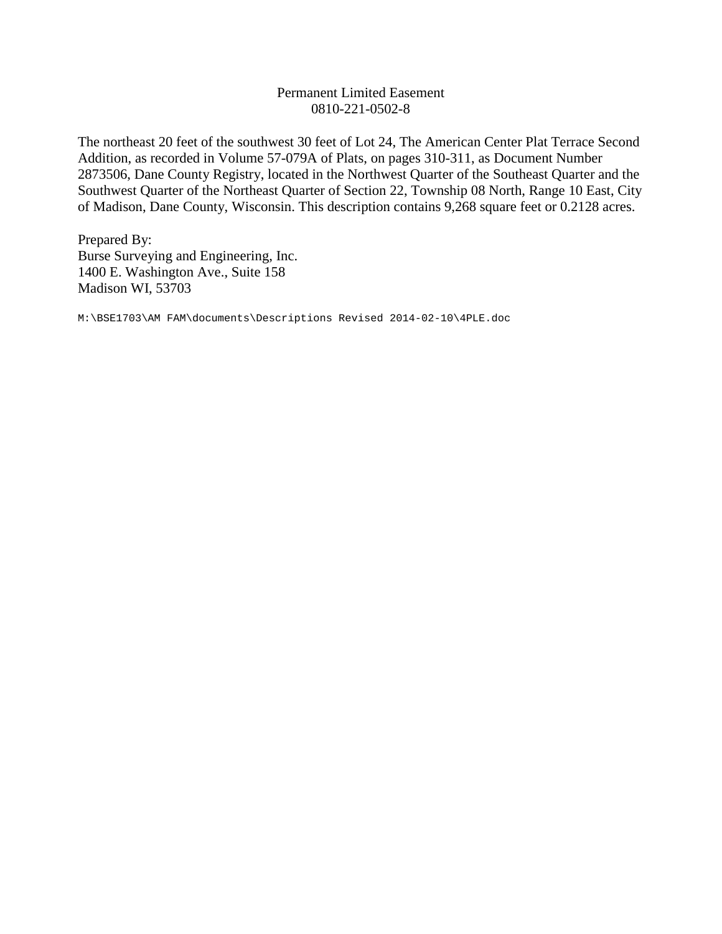## Permanent Limited Easement 0810-221-0502-8

The northeast 20 feet of the southwest 30 feet of Lot 24, The American Center Plat Terrace Second Addition, as recorded in Volume 57-079A of Plats, on pages 310-311, as Document Number 2873506, Dane County Registry, located in the Northwest Quarter of the Southeast Quarter and the Southwest Quarter of the Northeast Quarter of Section 22, Township 08 North, Range 10 East, City of Madison, Dane County, Wisconsin. This description contains 9,268 square feet or 0.2128 acres.

Prepared By: Burse Surveying and Engineering, Inc. 1400 E. Washington Ave., Suite 158 Madison WI, 53703

M:\BSE1703\AM FAM\documents\Descriptions Revised 2014-02-10\4PLE.doc